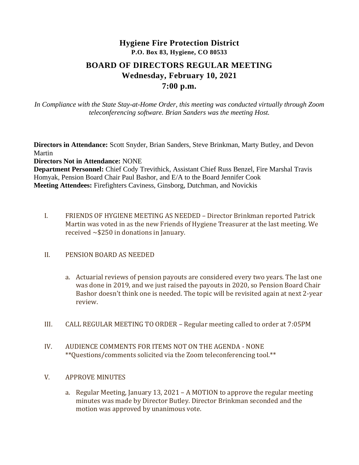# **Hygiene Fire Protection District P.O. Box 83, Hygiene, CO 80533 BOARD OF DIRECTORS REGULAR MEETING Wednesday, February 10, 2021 7:00 p.m.**

*In Compliance with the State Stay-at-Home Order, this meeting was conducted virtually through Zoom teleconferencing software. Brian Sanders was the meeting Host.*

**Directors in Attendance:** Scott Snyder, Brian Sanders, Steve Brinkman, Marty Butley, and Devon Martin **Directors Not in Attendance:** NONE **Department Personnel:** Chief Cody Trevithick, Assistant Chief Russ Benzel, Fire Marshal Travis Homyak, Pension Board Chair Paul Bashor, and E/A to the Board Jennifer Cook **Meeting Attendees:** Firefighters Caviness, Ginsborg, Dutchman, and Novickis

I. FRIENDS OF HYGIENE MEETING AS NEEDED – Director Brinkman reported Patrick Martin was voted in as the new Friends of Hygiene Treasurer at the last meeting. We received ~\$250 in donations in January.

#### II. PENSION BOARD AS NEEDED

- a. Actuarial reviews of pension payouts are considered every two years. The last one was done in 2019, and we just raised the payouts in 2020, so Pension Board Chair Bashor doesn't think one is needed. The topic will be revisited again at next 2-year review.
- III. CALL REGULAR MEETING TO ORDER Regular meeting called to order at 7:05PM
- IV. AUDIENCE COMMENTS FOR ITEMS NOT ON THE AGENDA NONE \*\*Questions/comments solicited via the Zoom teleconferencing tool.\*\*

#### V. APPROVE MINUTES

a. Regular Meeting, January 13, 2021 – A MOTION to approve the regular meeting minutes was made by Director Butley. Director Brinkman seconded and the motion was approved by unanimous vote.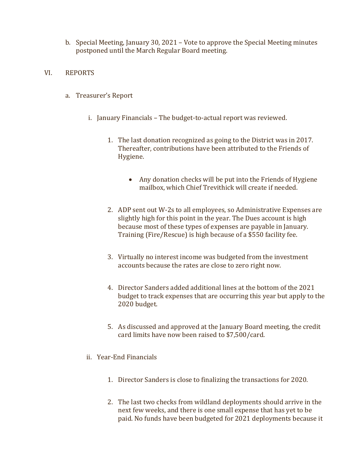- b. Special Meeting, January 30, 2021 Vote to approve the Special Meeting minutes postponed until the March Regular Board meeting.
- VI. REPORTS
	- a. Treasurer's Report
		- i. January Financials The budget-to-actual report was reviewed.
			- 1. The last donation recognized as going to the District was in 2017. Thereafter, contributions have been attributed to the Friends of Hygiene.
				- Any donation checks will be put into the Friends of Hygiene mailbox, which Chief Trevithick will create if needed.
			- 2. ADP sent out W-2s to all employees, so Administrative Expenses are slightly high for this point in the year. The Dues account is high because most of these types of expenses are payable in January. Training (Fire/Rescue) is high because of a \$550 facility fee.
			- 3. Virtually no interest income was budgeted from the investment accounts because the rates are close to zero right now.
			- 4. Director Sanders added additional lines at the bottom of the 2021 budget to track expenses that are occurring this year but apply to the 2020 budget.
			- 5. As discussed and approved at the January Board meeting, the credit card limits have now been raised to \$7,500/card.
		- ii. Year-End Financials
			- 1. Director Sanders is close to finalizing the transactions for 2020.
			- 2. The last two checks from wildland deployments should arrive in the next few weeks, and there is one small expense that has yet to be paid. No funds have been budgeted for 2021 deployments because it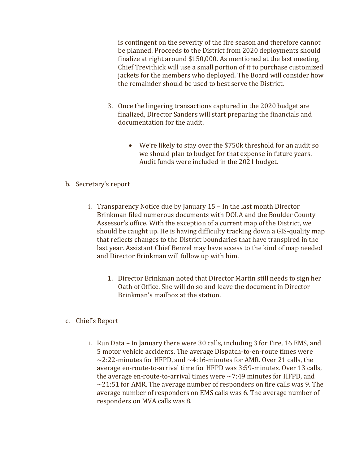is contingent on the severity of the fire season and therefore cannot be planned. Proceeds to the District from 2020 deployments should finalize at right around \$150,000. As mentioned at the last meeting, Chief Trevithick will use a small portion of it to purchase customized jackets for the members who deployed. The Board will consider how the remainder should be used to best serve the District.

- 3. Once the lingering transactions captured in the 2020 budget are finalized, Director Sanders will start preparing the financials and documentation for the audit.
	- We're likely to stay over the \$750k threshold for an audit so we should plan to budget for that expense in future years. Audit funds were included in the 2021 budget.
- b. Secretary's report
	- i. Transparency Notice due by January 15 In the last month Director Brinkman filed numerous documents with DOLA and the Boulder County Assessor's office. With the exception of a current map of the District, we should be caught up. He is having difficulty tracking down a GIS-quality map that reflects changes to the District boundaries that have transpired in the last year. Assistant Chief Benzel may have access to the kind of map needed and Director Brinkman will follow up with him.
		- 1. Director Brinkman noted that Director Martin still needs to sign her Oath of Office. She will do so and leave the document in Director Brinkman's mailbox at the station.
- c. Chief's Report
	- i. Run Data In January there were 30 calls, including 3 for Fire, 16 EMS, and 5 motor vehicle accidents. The average Dispatch-to-en-route times were  $\sim$ 2:22-minutes for HFPD, and  $\sim$ 4:16-minutes for AMR. Over 21 calls, the average en-route-to-arrival time for HFPD was 3:59-minutes. Over 13 calls, the average en-route-to-arrival times were  $\sim$  7:49 minutes for HFPD, and  $\sim$ 21:51 for AMR. The average number of responders on fire calls was 9. The average number of responders on EMS calls was 6. The average number of responders on MVA calls was 8.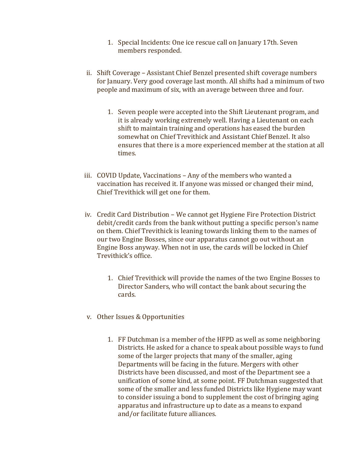- 1. Special Incidents: One ice rescue call on January 17th. Seven members responded.
- ii. Shift Coverage Assistant Chief Benzel presented shift coverage numbers for January. Very good coverage last month. All shifts had a minimum of two people and maximum of six, with an average between three and four.
	- 1. Seven people were accepted into the Shift Lieutenant program, and it is already working extremely well. Having a Lieutenant on each shift to maintain training and operations has eased the burden somewhat on Chief Trevithick and Assistant Chief Benzel. It also ensures that there is a more experienced member at the station at all times.
- iii. COVID Update, Vaccinations Any of the members who wanted a vaccination has received it. If anyone was missed or changed their mind, Chief Trevithick will get one for them.
- iv. Credit Card Distribution We cannot get Hygiene Fire Protection District debit/credit cards from the bank without putting a specific person's name on them. Chief Trevithick is leaning towards linking them to the names of our two Engine Bosses, since our apparatus cannot go out without an Engine Boss anyway. When not in use, the cards will be locked in Chief Trevithick's office.
	- 1. Chief Trevithick will provide the names of the two Engine Bosses to Director Sanders, who will contact the bank about securing the cards.
- v. Other Issues & Opportunities
	- 1. FF Dutchman is a member of the HFPD as well as some neighboring Districts. He asked for a chance to speak about possible ways to fund some of the larger projects that many of the smaller, aging Departments will be facing in the future. Mergers with other Districts have been discussed, and most of the Department see a unification of some kind, at some point. FF Dutchman suggested that some of the smaller and less funded Districts like Hygiene may want to consider issuing a bond to supplement the cost of bringing aging apparatus and infrastructure up to date as a means to expand and/or facilitate future alliances.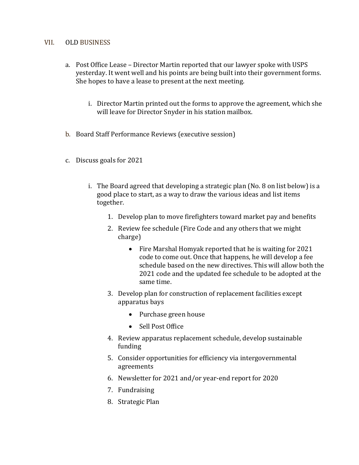#### VII. OLD BUSINESS

- a. Post Office Lease Director Martin reported that our lawyer spoke with USPS yesterday. It went well and his points are being built into their government forms. She hopes to have a lease to present at the next meeting.
	- i. Director Martin printed out the forms to approve the agreement, which she will leave for Director Snyder in his station mailbox.
- b. Board Staff Performance Reviews (executive session)
- c. Discuss goals for 2021
	- i. The Board agreed that developing a strategic plan (No. 8 on list below) is a good place to start, as a way to draw the various ideas and list items together.
		- 1. Develop plan to move firefighters toward market pay and benefits
		- 2. Review fee schedule (Fire Code and any others that we might charge)
			- Fire Marshal Homyak reported that he is waiting for 2021 code to come out. Once that happens, he will develop a fee schedule based on the new directives. This will allow both the 2021 code and the updated fee schedule to be adopted at the same time.
		- 3. Develop plan for construction of replacement facilities except apparatus bays
			- Purchase green house
			- Sell Post Office
		- 4. Review apparatus replacement schedule, develop sustainable funding
		- 5. Consider opportunities for efficiency via intergovernmental agreements
		- 6. Newsletter for 2021 and/or year-end report for 2020
		- 7. Fundraising
		- 8. Strategic Plan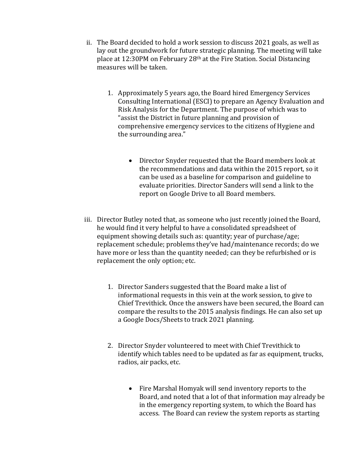- ii. The Board decided to hold a work session to discuss 2021 goals, as well as lay out the groundwork for future strategic planning. The meeting will take place at 12:30PM on February 28th at the Fire Station. Social Distancing measures will be taken.
	- 1. Approximately 5 years ago, the Board hired Emergency Services Consulting International (ESCI) to prepare an Agency Evaluation and Risk Analysis for the Department. The purpose of which was to "assist the District in future planning and provision of comprehensive emergency services to the citizens of Hygiene and the surrounding area."
		- Director Snyder requested that the Board members look at the recommendations and data within the 2015 report, so it can be used as a baseline for comparison and guideline to evaluate priorities. Director Sanders will send a link to the report on Google Drive to all Board members.
- iii. Director Butley noted that, as someone who just recently joined the Board, he would find it very helpful to have a consolidated spreadsheet of equipment showing details such as: quantity; year of purchase/age; replacement schedule; problems they've had/maintenance records; do we have more or less than the quantity needed; can they be refurbished or is replacement the only option; etc.
	- 1. Director Sanders suggested that the Board make a list of informational requests in this vein at the work session, to give to Chief Trevithick. Once the answers have been secured, the Board can compare the results to the 2015 analysis findings. He can also set up a Google Docs/Sheets to track 2021 planning.
	- 2. Director Snyder volunteered to meet with Chief Trevithick to identify which tables need to be updated as far as equipment, trucks, radios, air packs, etc.
		- Fire Marshal Homyak will send inventory reports to the Board, and noted that a lot of that information may already be in the emergency reporting system, to which the Board has access. The Board can review the system reports as starting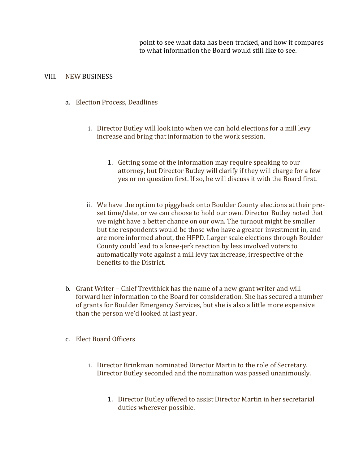point to see what data has been tracked, and how it compares to what information the Board would still like to see.

#### VIII. NEW BUSINESS

- a. Election Process, Deadlines
	- i. Director Butley will look into when we can hold elections for a mill levy increase and bring that information to the work session.
		- 1. Getting some of the information may require speaking to our attorney, but Director Butley will clarify if they will charge for a few yes or no question first. If so, he will discuss it with the Board first.
	- ii. We have the option to piggyback onto Boulder County elections at their preset time/date, or we can choose to hold our own. Director Butley noted that we might have a better chance on our own. The turnout might be smaller but the respondents would be those who have a greater investment in, and are more informed about, the HFPD. Larger scale elections through Boulder County could lead to a knee-jerk reaction by less involved voters to automatically vote against a mill levy tax increase, irrespective of the benefits to the District.
- b. Grant Writer Chief Trevithick has the name of a new grant writer and will forward her information to the Board for consideration. She has secured a number of grants for Boulder Emergency Services, but she is also a little more expensive than the person we'd looked at last year.
- c. Elect Board Officers
	- i. Director Brinkman nominated Director Martin to the role of Secretary. Director Butley seconded and the nomination was passed unanimously.
		- 1. Director Butley offered to assist Director Martin in her secretarial duties wherever possible.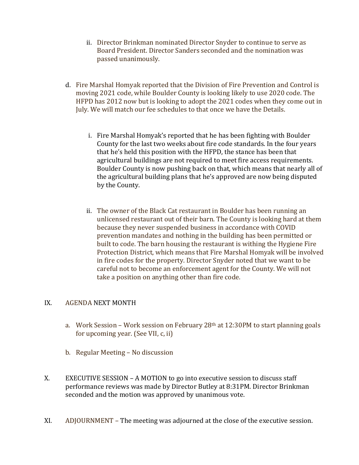- ii. Director Brinkman nominated Director Snyder to continue to serve as Board President. Director Sanders seconded and the nomination was passed unanimously.
- d. Fire Marshal Homyak reported that the Division of Fire Prevention and Control is moving 2021 code, while Boulder County is looking likely to use 2020 code. The HFPD has 2012 now but is looking to adopt the 2021 codes when they come out in July. We will match our fee schedules to that once we have the Details.
	- i. Fire Marshal Homyak's reported that he has been fighting with Boulder County for the last two weeks about fire code standards. In the four years that he's held this position with the HFPD, the stance has been that agricultural buildings are not required to meet fire access requirements. Boulder County is now pushing back on that, which means that nearly all of the agricultural building plans that he's approved are now being disputed by the County.
	- ii. The owner of the Black Cat restaurant in Boulder has been running an unlicensed restaurant out of their barn. The County is looking hard at them because they never suspended business in accordance with COVID prevention mandates and nothing in the building has been permitted or built to code. The barn housing the restaurant is withing the Hygiene Fire Protection District, which means that Fire Marshal Homyak will be involved in fire codes for the property. Director Snyder noted that we want to be careful not to become an enforcement agent for the County. We will not take a position on anything other than fire code.

# IX. AGENDA NEXT MONTH

- a. Work Session Work session on February 28th at 12:30PM to start planning goals for upcoming year. (See VII, c, ii)
- b. Regular Meeting No discussion
- X. EXECUTIVE SESSION A MOTION to go into executive session to discuss staff performance reviews was made by Director Butley at 8:31PM. Director Brinkman seconded and the motion was approved by unanimous vote.
- XI. ADJOURNMENT The meeting was adjourned at the close of the executive session.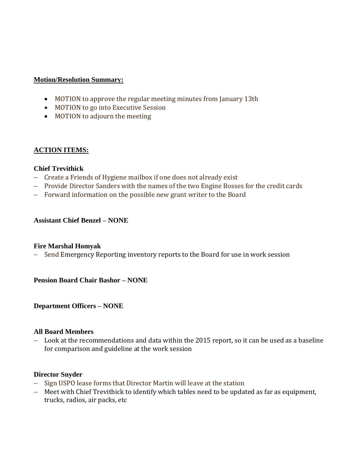# **Motion/Resolution Summary:**

- MOTION to approve the regular meeting minutes from January 13th
- MOTION to go into Executive Session
- MOTION to adjourn the meeting

# **ACTION ITEMS:**

# **Chief Trevithick**

- − Create a Friends of Hygiene mailbox if one does not already exist
- − Provide Director Sanders with the names of the two Engine Bosses for the credit cards
- − Forward information on the possible new grant writer to the Board

# **Assistant Chief Benzel – NONE**

#### **Fire Marshal Homyak**

− Send Emergency Reporting inventory reports to the Board for use in work session

**Pension Board Chair Bashor – NONE**

**Department Officers – NONE**

#### **All Board Members**

− Look at the recommendations and data within the 2015 report, so it can be used as a baseline for comparison and guideline at the work session

#### **Director Snyder**

- − Sign USPO lease forms that Director Martin will leave at the station
- − Meet with Chief Trevithick to identify which tables need to be updated as far as equipment, trucks, radios, air packs, etc